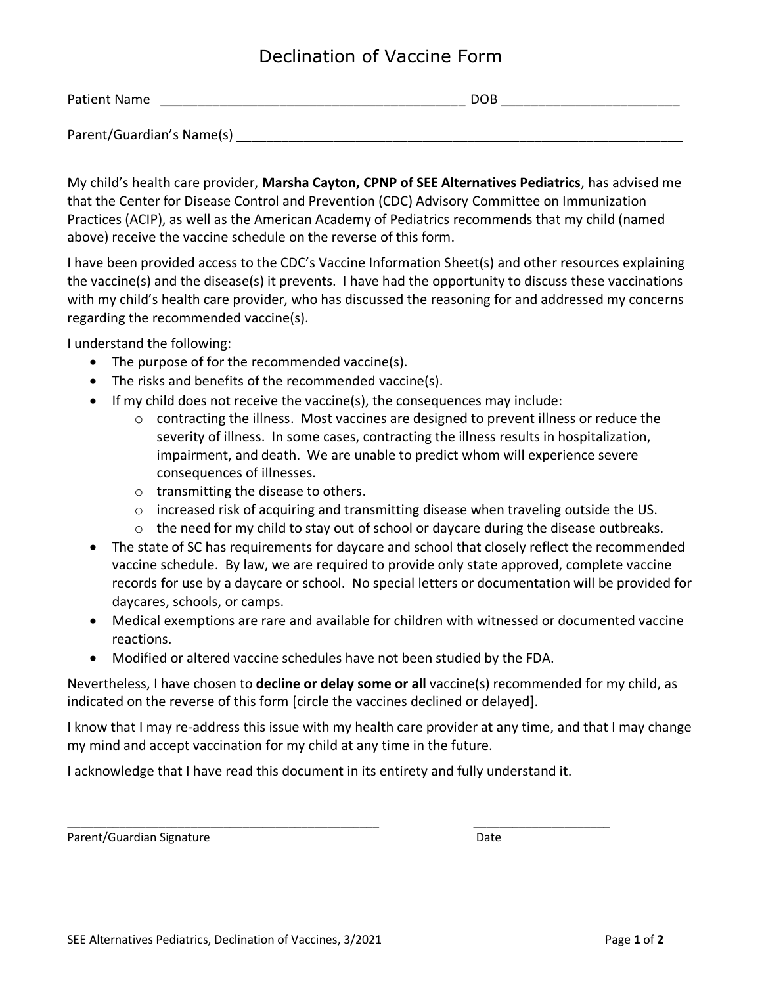## Declination of Vaccine Form

| Patient Name              | DOB |
|---------------------------|-----|
| Parent/Guardian's Name(s) |     |

My child's health care provider, **Marsha Cayton, CPNP of SEE Alternatives Pediatrics**, has advised me that the Center for Disease Control and Prevention (CDC) Advisory Committee on Immunization Practices (ACIP), as well as the American Academy of Pediatrics recommends that my child (named above) receive the vaccine schedule on the reverse of this form.

I have been provided access to the CDC's Vaccine Information Sheet(s) and other resources explaining the vaccine(s) and the disease(s) it prevents. I have had the opportunity to discuss these vaccinations with my child's health care provider, who has discussed the reasoning for and addressed my concerns regarding the recommended vaccine(s).

I understand the following:

- The purpose of for the recommended vaccine(s).
- The risks and benefits of the recommended vaccine(s).
- If my child does not receive the vaccine(s), the consequences may include:
	- $\circ$  contracting the illness. Most vaccines are designed to prevent illness or reduce the severity of illness. In some cases, contracting the illness results in hospitalization, impairment, and death. We are unable to predict whom will experience severe consequences of illnesses.
	- o transmitting the disease to others.
	- $\circ$  increased risk of acquiring and transmitting disease when traveling outside the US.
	- $\circ$  the need for my child to stay out of school or daycare during the disease outbreaks.
- The state of SC has requirements for daycare and school that closely reflect the recommended vaccine schedule. By law, we are required to provide only state approved, complete vaccine records for use by a daycare or school. No special letters or documentation will be provided for daycares, schools, or camps.
- Medical exemptions are rare and available for children with witnessed or documented vaccine reactions.
- Modified or altered vaccine schedules have not been studied by the FDA.

Nevertheless, I have chosen to **decline or delay some or all** vaccine(s) recommended for my child, as indicated on the reverse of this form [circle the vaccines declined or delayed].

I know that I may re-address this issue with my health care provider at any time, and that I may change my mind and accept vaccination for my child at any time in the future.

I acknowledge that I have read this document in its entirety and fully understand it.

\_\_\_\_\_\_\_\_\_\_\_\_\_\_\_\_\_\_\_\_\_\_\_\_\_\_\_\_\_\_\_\_\_\_\_\_\_\_\_\_\_\_\_\_\_\_\_\_ \_\_\_\_\_\_\_\_\_\_\_\_\_\_\_\_\_\_\_\_\_

Parent/Guardian Signature **Date of American Systems** Date Date